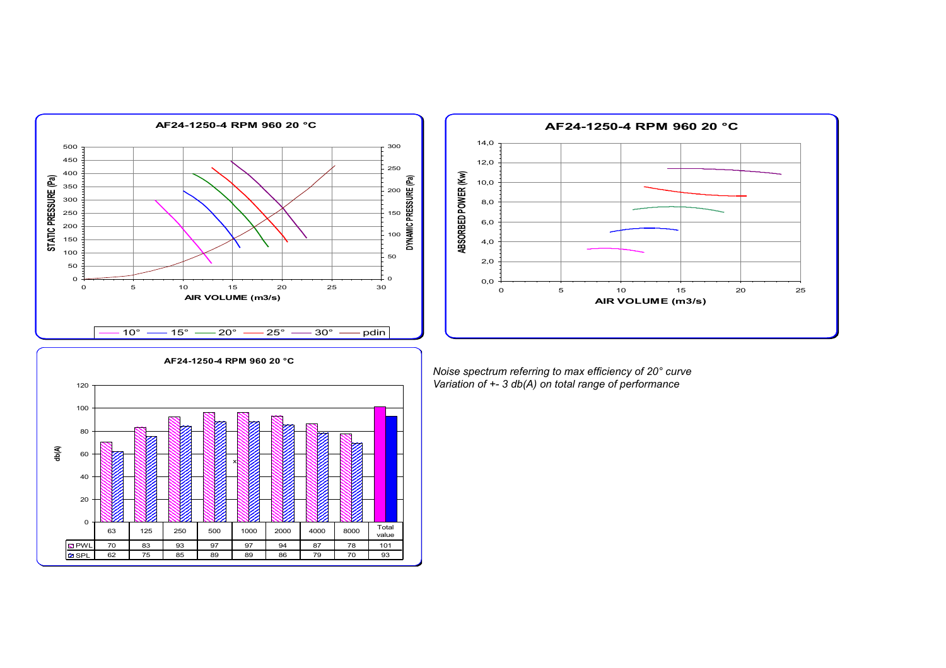



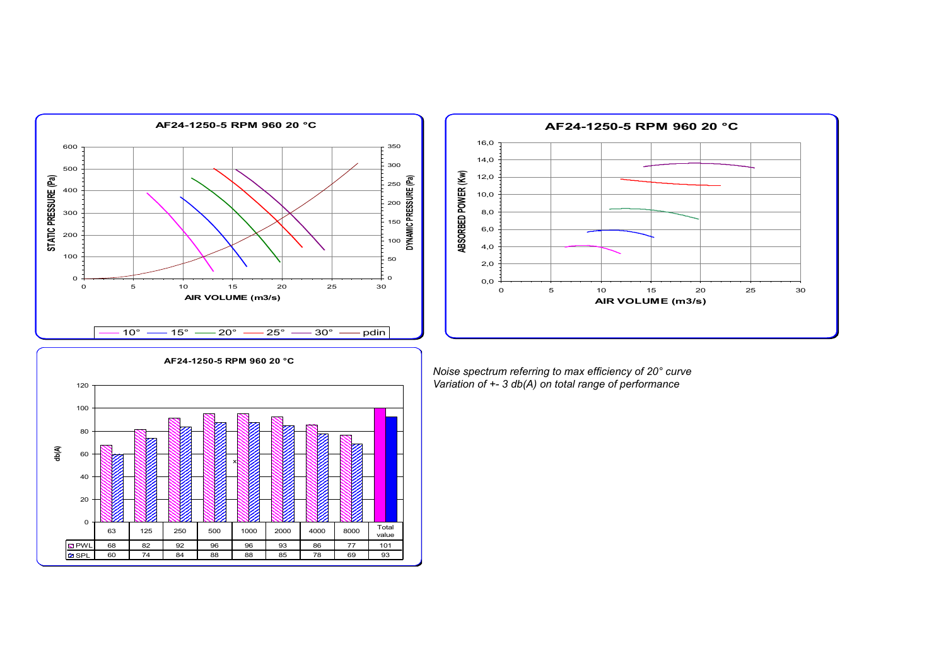



**AF24-1250-5 RPM 960 20 °C** 0 20 40 60 80 100 120 **db(A)** PWL 68 82 92 96 96 93 86 77 101 SPL 60 74 84 88 88 85 78 69 93 63 | 125 | 250 | 500 | 1000 | 2000 | 4000 | 8000 | Total value x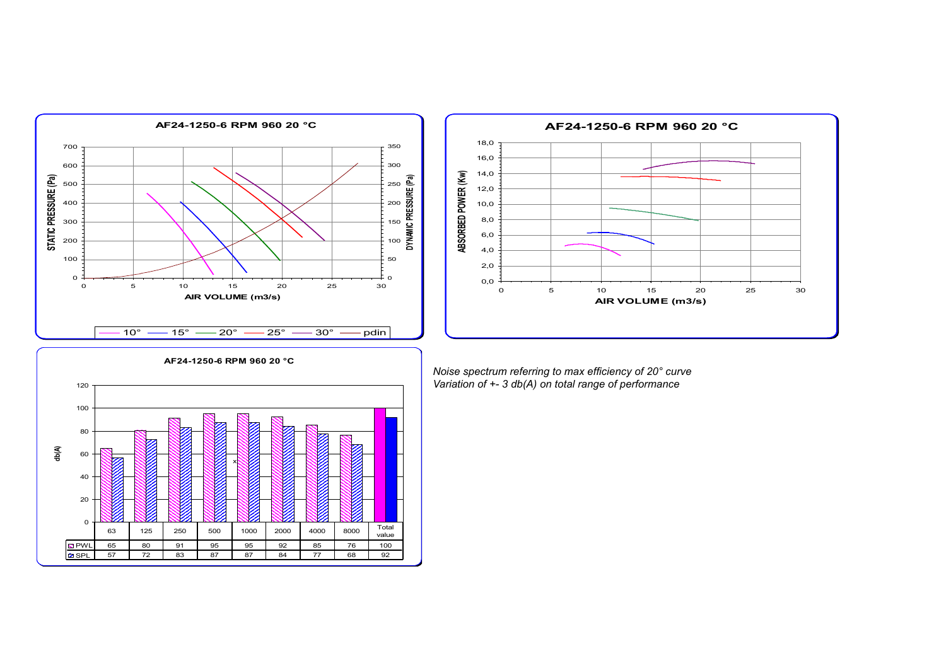



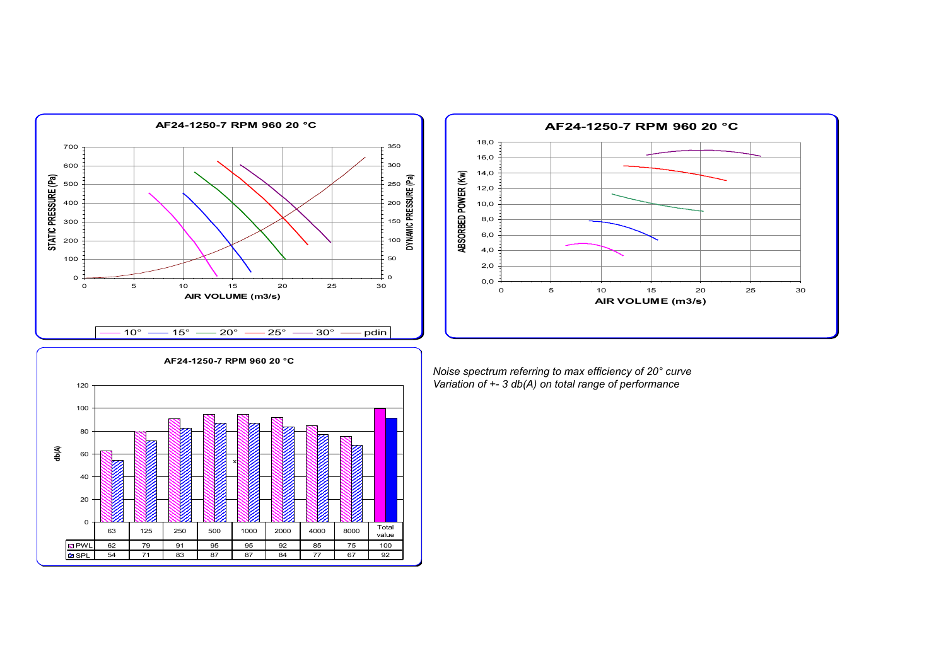



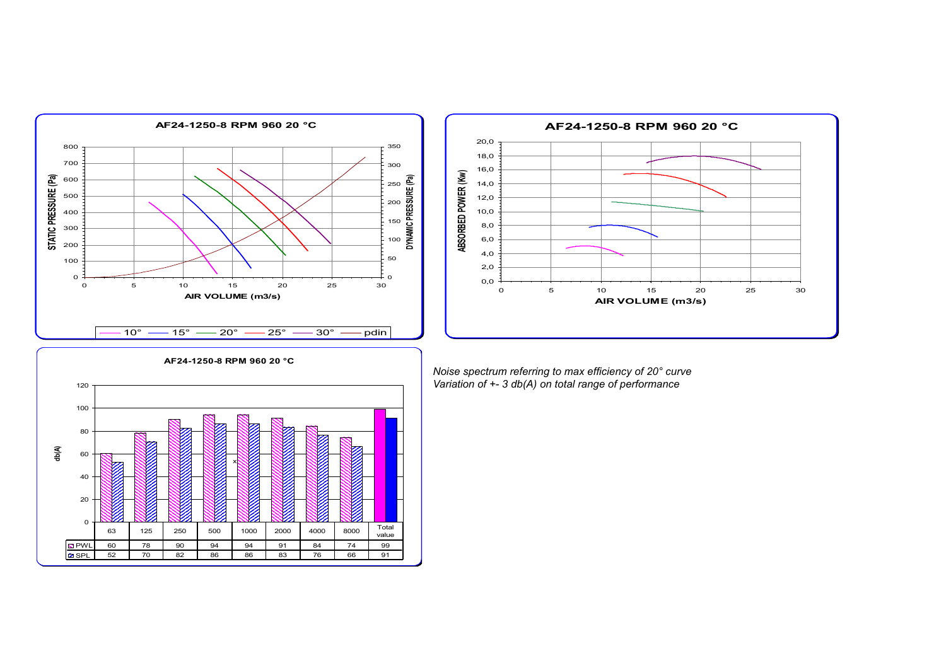